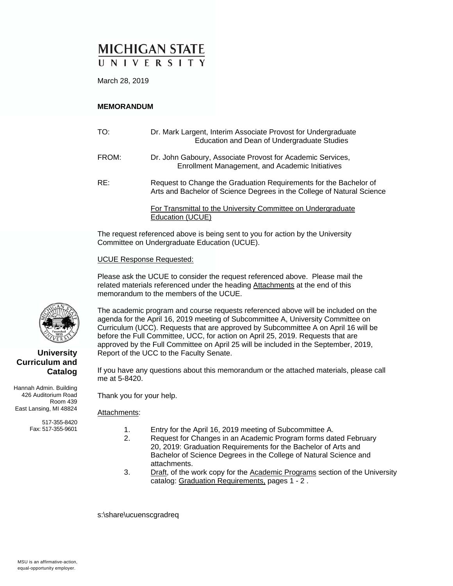# **MICHIGAN STATE** UNIVERSITY

March 28, 2019

#### **MEMORANDUM**

| TO:   | Dr. Mark Largent, Interim Associate Provost for Undergraduate<br>Education and Dean of Undergraduate Studies                                |
|-------|---------------------------------------------------------------------------------------------------------------------------------------------|
| FROM: | Dr. John Gaboury, Associate Provost for Academic Services,<br>Enrollment Management, and Academic Initiatives                               |
| RE:   | Request to Change the Graduation Requirements for the Bachelor of<br>Arts and Bachelor of Science Degrees in the College of Natural Science |
|       | For Transmittal to the University Committee on Undergraduate<br>Education (UCUE)                                                            |

The request referenced above is being sent to you for action by the University Committee on Undergraduate Education (UCUE).

#### UCUE Response Requested:

Please ask the UCUE to consider the request referenced above. Please mail the related materials referenced under the heading Attachments at the end of this memorandum to the members of the UCUE.

The academic program and course requests referenced above will be included on the agenda for the April 16, 2019 meeting of Subcommittee A, University Committee on Curriculum (UCC). Requests that are approved by Subcommittee A on April 16 will be before the Full Committee, UCC, for action on April 25, 2019. Requests that are approved by the Full Committee on April 25 will be included in the September, 2019, Report of the UCC to the Faculty Senate.

If you have any questions about this memorandum or the attached materials, please call me at 5-8420.

Thank you for your help.

#### Attachments:

- - 1. Entry for the April 16, 2019 meeting of Subcommittee A.
	- 2. Request for Changes in an Academic Program forms dated February 20, 2019: Graduation Requirements for the Bachelor of Arts and Bachelor of Science Degrees in the College of Natural Science and attachments.
	- 3. Draft, of the work copy for the Academic Programs section of the University catalog: Graduation Requirements, pages 1 - 2 .

s:\share\ucuenscgradreq



#### **University Curriculum and Catalog**

Hannah Admin. Building 426 Auditorium Road Room 439 East Lansing, MI 48824

> 517-355-8420 Fax: 517-355-9601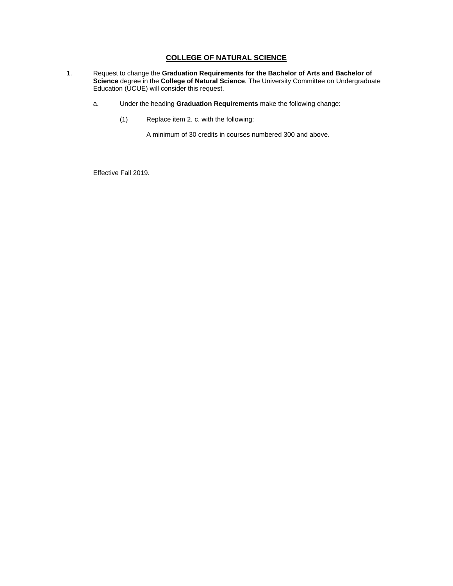#### **COLLEGE OF NATURAL SCIENCE**

- 1. Request to change the **Graduation Requirements for the Bachelor of Arts and Bachelor of Science** degree in the **College of Natural Science**. The University Committee on Undergraduate Education (UCUE) will consider this request.
	- a. Under the heading **Graduation Requirements** make the following change:
		- (1) Replace item 2. c. with the following:

A minimum of 30 credits in courses numbered 300 and above.

Effective Fall 2019.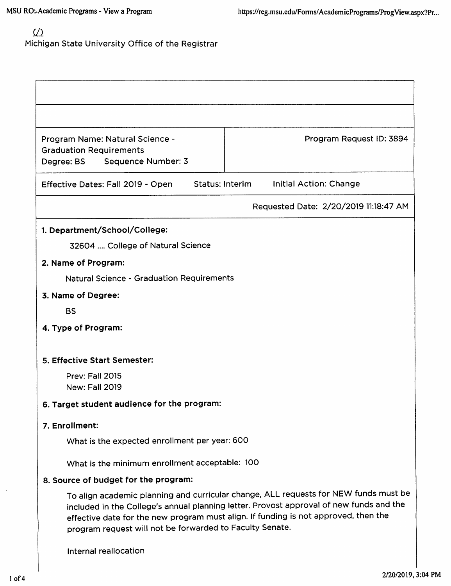# ${\underline {\cal U}}$ Michigan State University Office of the Registrar

| Program Name: Natural Science -<br><b>Graduation Requirements</b>                                                                                                                                                                                                                                                                  | Program Request ID: 3894                         |  |  |
|------------------------------------------------------------------------------------------------------------------------------------------------------------------------------------------------------------------------------------------------------------------------------------------------------------------------------------|--------------------------------------------------|--|--|
| Sequence Number: 3<br>Degree: BS                                                                                                                                                                                                                                                                                                   |                                                  |  |  |
| Effective Dates: Fall 2019 - Open                                                                                                                                                                                                                                                                                                  | <b>Status: Interim</b><br>Initial Action: Change |  |  |
|                                                                                                                                                                                                                                                                                                                                    |                                                  |  |  |
|                                                                                                                                                                                                                                                                                                                                    | Requested Date: 2/20/2019 11:18:47 AM            |  |  |
| 1. Department/School/College:                                                                                                                                                                                                                                                                                                      |                                                  |  |  |
| 32604  College of Natural Science                                                                                                                                                                                                                                                                                                  |                                                  |  |  |
| 2. Name of Program:                                                                                                                                                                                                                                                                                                                |                                                  |  |  |
| <b>Natural Science - Graduation Requirements</b>                                                                                                                                                                                                                                                                                   |                                                  |  |  |
| 3. Name of Degree:                                                                                                                                                                                                                                                                                                                 |                                                  |  |  |
| <b>BS</b>                                                                                                                                                                                                                                                                                                                          |                                                  |  |  |
| 4. Type of Program:                                                                                                                                                                                                                                                                                                                |                                                  |  |  |
|                                                                                                                                                                                                                                                                                                                                    |                                                  |  |  |
| 5. Effective Start Semester:                                                                                                                                                                                                                                                                                                       |                                                  |  |  |
| Prev: Fall 2015<br><b>New: Fall 2019</b>                                                                                                                                                                                                                                                                                           |                                                  |  |  |
| 6. Target student audience for the program:                                                                                                                                                                                                                                                                                        |                                                  |  |  |
| 7. Enrollment:                                                                                                                                                                                                                                                                                                                     |                                                  |  |  |
| What is the expected enrollment per year: 600                                                                                                                                                                                                                                                                                      |                                                  |  |  |
| What is the minimum enrollment acceptable: 100                                                                                                                                                                                                                                                                                     |                                                  |  |  |
| 8. Source of budget for the program:                                                                                                                                                                                                                                                                                               |                                                  |  |  |
| To align academic planning and curricular change, ALL requests for NEW funds must be<br>included in the College's annual planning letter. Provost approval of new funds and the<br>effective date for the new program must align. If funding is not approved, then the<br>program request will not be forwarded to Faculty Senate. |                                                  |  |  |
| Internal reallocation                                                                                                                                                                                                                                                                                                              |                                                  |  |  |
|                                                                                                                                                                                                                                                                                                                                    |                                                  |  |  |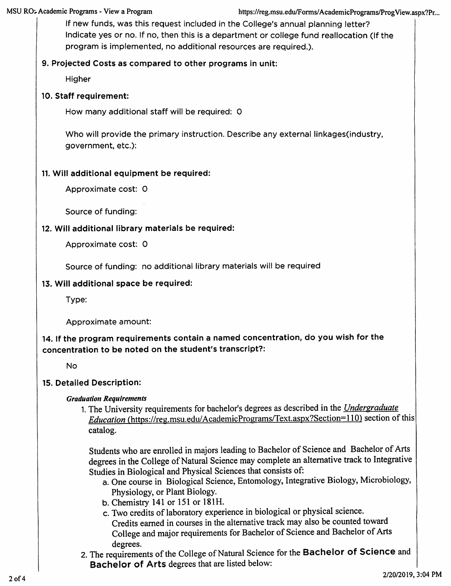If new funds, was this request included in the College's annual planning letter? Indicate yes or no. If no, then this is a department or college fund reallocation (If the program is implemented, no additional resources are required.).

## 9. Projected Costs as compared to other programs in unit:

Higher

### 10. Staff requirement:

How many additional staff will be required: 0

Who will provide the primary instruction. Describe any external linkages (industry, government, etc.):

## 11. Will additional equipment be required:

Approximate cost: 0

Source of funding:

### 12. Will additional library materials be required:

Approximate cost: 0

Source of funding: no additional library materials will be required

### 13. Will additional space be required:

Type:

Approximate amount:

14. If the program requirements contain a named concentration, do you wish for the concentration to be noted on the student's transcript?:

**No** 

## 15. Detailed Description:

#### **Graduation Requirements**

1. The University requirements for bachelor's degrees as described in the *Undergraduate Education* (https://reg.msu.edu/AcademicPrograms/Text.aspx?Section=110) section of this catalog.

Students who are enrolled in majors leading to Bachelor of Science and Bachelor of Arts degrees in the College of Natural Science may complete an alternative track to Integrative Studies in Biological and Physical Sciences that consists of:

- a. One course in Biological Science, Entomology, Integrative Biology, Microbiology, Physiology, or Plant Biology.
- b. Chemistry 141 or 151 or 181H.
- c. Two credits of laboratory experience in biological or physical science. Credits earned in courses in the alternative track may also be counted toward College and major requirements for Bachelor of Science and Bachelor of Arts degrees.
- 2. The requirements of the College of Natural Science for the Bachelor of Science and Bachelor of Arts degrees that are listed below: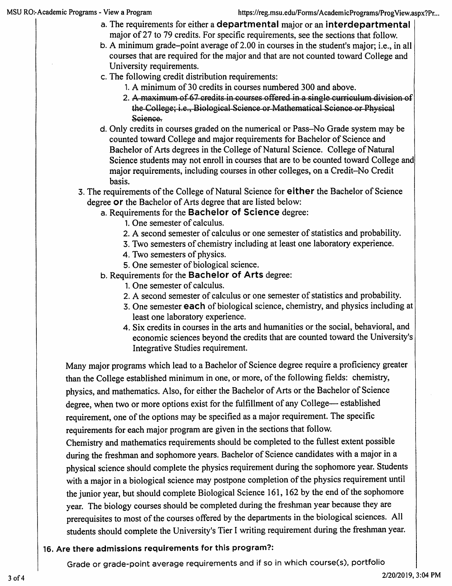- a. The requirements for either a departmental major or an interdepartmental major of 27 to 79 credits. For specific requirements, see the sections that follow.
- b. A minimum grade-point average of 2.00 in courses in the student's major; i.e., in all courses that are required for the major and that are not counted toward College and University requirements.
- c. The following credit distribution requirements:
	- 1. A minimum of 30 credits in courses numbered 300 and above.
	- 2. A maximum of 67 credits in courses offered in a single curriculum division of the College: *i.e.*, Biological Science or Mathematical Science or Physical Science.
- d. Only credits in courses graded on the numerical or Pass–No Grade system may be counted toward College and major requirements for Bachelor of Science and Bachelor of Arts degrees in the College of Natural Science. College of Natural Science students may not enroll in courses that are to be counted toward College and major requirements, including courses in other colleges, on a Credit-No Credit basis.
- 3. The requirements of the College of Natural Science for either the Bachelor of Science degree or the Bachelor of Arts degree that are listed below:
	- a. Requirements for the Bachelor of Science degree:
		- 1. One semester of calculus.
		- 2. A second semester of calculus or one semester of statistics and probability.
		- 3. Two semesters of chemistry including at least one laboratory experience.
		- 4. Two semesters of physics.
		- 5. One semester of biological science.
	- b. Requirements for the Bachelor of Arts degree:
		- 1. One semester of calculus.
		- 2. A second semester of calculus or one semester of statistics and probability.
		- 3. One semester each of biological science, chemistry, and physics including at least one laboratory experience.
		- 4. Six credits in courses in the arts and humanities or the social, behavioral, and economic sciences beyond the credits that are counted toward the University's Integrative Studies requirement.

Many major programs which lead to a Bachelor of Science degree require a proficiency greater than the College established minimum in one, or more, of the following fields: chemistry, physics, and mathematics. Also, for either the Bachelor of Arts or the Bachelor of Science degree, when two or more options exist for the fulfillment of any College— established requirement, one of the options may be specified as a major requirement. The specific requirements for each major program are given in the sections that follow. Chemistry and mathematics requirements should be completed to the fullest extent possible during the freshman and sophomore years. Bachelor of Science candidates with a major in a physical science should complete the physics requirement during the sophomore year. Students with a major in a biological science may postpone completion of the physics requirement until the junior year, but should complete Biological Science 161, 162 by the end of the sophomore year. The biology courses should be completed during the freshman year because they are prerequisites to most of the courses offered by the departments in the biological sciences. All students should complete the University's Tier I writing requirement during the freshman year.

# 16. Are there admissions requirements for this program?:

Grade or grade-point average requirements and if so in which course(s), portfolio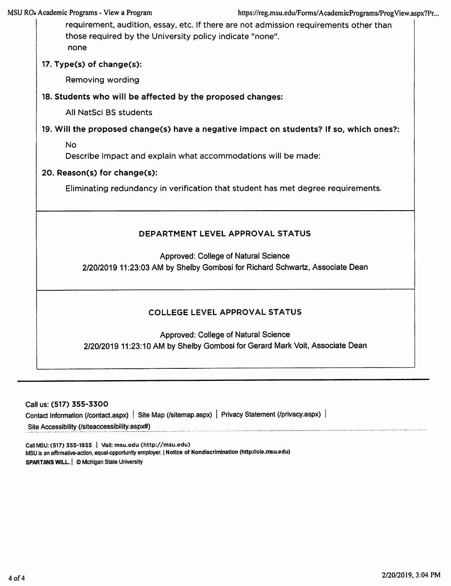https://reg.msu.edu/Forms/AcademicPrograms/ProgView.aspx?Pr...

requirement, audition, essay, etc. If there are not admission requirements other than those required by the University policy indicate "none". none

17. Type(s) of change(s):

Removing wording

18. Students who will be affected by the proposed changes:

All NatSci BS students

19. Will the proposed change(s) have a negative impact on students? If so, which ones?:

**No** 

Describe impact and explain what accommodations will be made:

20. Reason(s) for change(s):

Eliminating redundancy in verification that student has met degree requirements.

### DEPARTMENT LEVEL APPROVAL STATUS

**Approved: College of Natural Science** 

2/20/2019 11:23:03 AM by Shelby Gombosi for Richard Schwartz, Associate Dean

## **COLLEGE LEVEL APPROVAL STATUS**

Approved: College of Natural Science 2/20/2019 11:23:10 AM by Shelby Gombosi for Gerard Mark Voit, Associate Dean

Call us: (517) 355-3300 Contact Information (/contact.aspx) | Site Map (/sitemap.aspx) | Privacy Statement (/privacy.aspx) | Site Accessibility (/siteaccessibility.aspx#)

Call MSU: (517) 355-1855 | Visit: msu.edu (http://msu.edu) MSU is an affirmative-action, equal-opportunity employer. | Notice of Nondiscrimination (http://oie.msu.edu) SPARTANS WILL. | © Michigan State University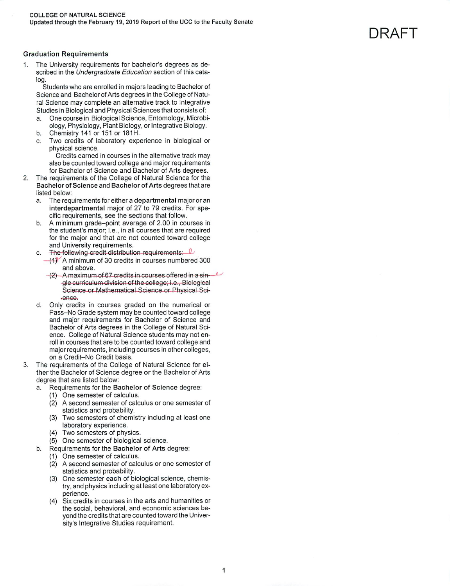DRAFT

#### **Graduation Requirements**

The University requirements for bachelor's degrees as described in the Undergraduate Education section of this catalog.

Students who are enrolled in majors leading to Bachelor of Science and Bachelor of Arts degrees in the College of Natural Science may complete an alternative track to Integrative Studies in Biological and Physical Sciences that consists of:

- One course in Biological Science, Entomology, Microbi $a<sub>z</sub>$ ology, Physiology, Plant Biology, or Integrative Biology.
- b. Chemistry 141 or 151 or 181H.
- $\mathbf{C}$ Two credits of laboratory experience in biological or physical science.

Credits earned in courses in the alternative track may also be counted toward college and major requirements for Bachelor of Science and Bachelor of Arts degrees.

- $\overline{2}$ The requirements of the College of Natural Science for the Bachelor of Science and Bachelor of Arts degrees that are listed below:
	- The requirements for either a departmental major or an a. interdepartmental major of 27 to 79 credits. For specific requirements, see the sections that follow.
	- $h$ A minimum grade-point average of 2.00 in courses in the student's major; i.e., in all courses that are required for the major and that are not counted toward college and University requirements.
	- The following credit distribution requirements: C.
	- $-$ (1) A minimum of 30 credits in courses numbered 300 and above.
		- $-(2)$  A maximum of 67 credits in courses offered in a sin- $\sim$ gle curriculum division of the college; i.e., Biological Science or Mathematical Science or Physical Science.
	- $\mathbf d$ . Only credits in courses graded on the numerical or Pass-No Grade system may be counted toward college and major requirements for Bachelor of Science and Bachelor of Arts degrees in the College of Natural Science. College of Natural Science students may not enroll in courses that are to be counted toward college and major requirements, including courses in other colleges, on a Credit-No Credit basis.
- The requirements of the College of Natural Science for ei-3. ther the Bachelor of Science degree or the Bachelor of Arts degree that are listed below:
	- Requirements for the Bachelor of Science degree: a.
		- (1) One semester of calculus.
		- (2) A second semester of calculus or one semester of statistics and probability.
		- (3) Two semesters of chemistry including at least one laboratory experience.
		- (4) Two semesters of physics.
		- (5) One semester of biological science.
	- Requirements for the Bachelor of Arts degree: b.
		- (1) One semester of calculus.
		- (2) A second semester of calculus or one semester of statistics and probability.
		- (3) One semester each of biological science, chemistry, and physics including at least one laboratory experience.
		- (4) Six credits in courses in the arts and humanities or the social, behavioral, and economic sciences beyond the credits that are counted toward the University's Integrative Studies requirement.